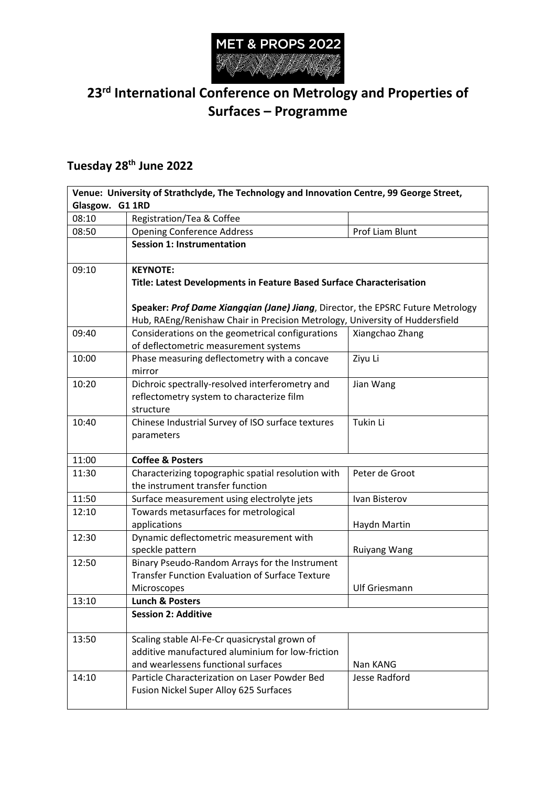

## **23rd International Conference on Metrology and Properties of Surfaces – Programme**

## **Tuesday 28th June 2022**

| Venue: University of Strathclyde, The Technology and Innovation Centre, 99 George Street,<br>Glasgow. G1 1RD |                                                                                                                                                                 |                      |
|--------------------------------------------------------------------------------------------------------------|-----------------------------------------------------------------------------------------------------------------------------------------------------------------|----------------------|
|                                                                                                              |                                                                                                                                                                 |                      |
| 08:50                                                                                                        | <b>Opening Conference Address</b>                                                                                                                               | Prof Liam Blunt      |
|                                                                                                              | <b>Session 1: Instrumentation</b>                                                                                                                               |                      |
| 09:10                                                                                                        | <b>KEYNOTE:</b><br>Title: Latest Developments in Feature Based Surface Characterisation                                                                         |                      |
|                                                                                                              | Speaker: Prof Dame Xiangqian (Jane) Jiang, Director, the EPSRC Future Metrology<br>Hub, RAEng/Renishaw Chair in Precision Metrology, University of Huddersfield |                      |
| 09:40                                                                                                        | Considerations on the geometrical configurations<br>of deflectometric measurement systems                                                                       | Xiangchao Zhang      |
| 10:00                                                                                                        | Phase measuring deflectometry with a concave<br>mirror                                                                                                          | Ziyu Li              |
| 10:20                                                                                                        | Dichroic spectrally-resolved interferometry and<br>reflectometry system to characterize film<br>structure                                                       | Jian Wang            |
| 10:40                                                                                                        | Chinese Industrial Survey of ISO surface textures<br>parameters                                                                                                 | Tukin Li             |
| 11:00                                                                                                        | <b>Coffee &amp; Posters</b>                                                                                                                                     |                      |
| 11:30                                                                                                        | Characterizing topographic spatial resolution with<br>the instrument transfer function                                                                          | Peter de Groot       |
| 11:50                                                                                                        | Surface measurement using electrolyte jets                                                                                                                      | Ivan Bisterov        |
| 12:10                                                                                                        | Towards metasurfaces for metrological<br>applications                                                                                                           | Haydn Martin         |
| 12:30                                                                                                        | Dynamic deflectometric measurement with<br>speckle pattern                                                                                                      | <b>Ruiyang Wang</b>  |
| 12:50                                                                                                        | Binary Pseudo-Random Arrays for the Instrument<br><b>Transfer Function Evaluation of Surface Texture</b><br>Microscopes                                         | <b>Ulf Griesmann</b> |
| 13:10                                                                                                        | <b>Lunch &amp; Posters</b>                                                                                                                                      |                      |
|                                                                                                              | <b>Session 2: Additive</b>                                                                                                                                      |                      |
| 13:50                                                                                                        | Scaling stable Al-Fe-Cr quasicrystal grown of<br>additive manufactured aluminium for low-friction<br>and wearlessens functional surfaces                        | Nan KANG             |
| 14:10                                                                                                        | Particle Characterization on Laser Powder Bed<br>Fusion Nickel Super Alloy 625 Surfaces                                                                         | Jesse Radford        |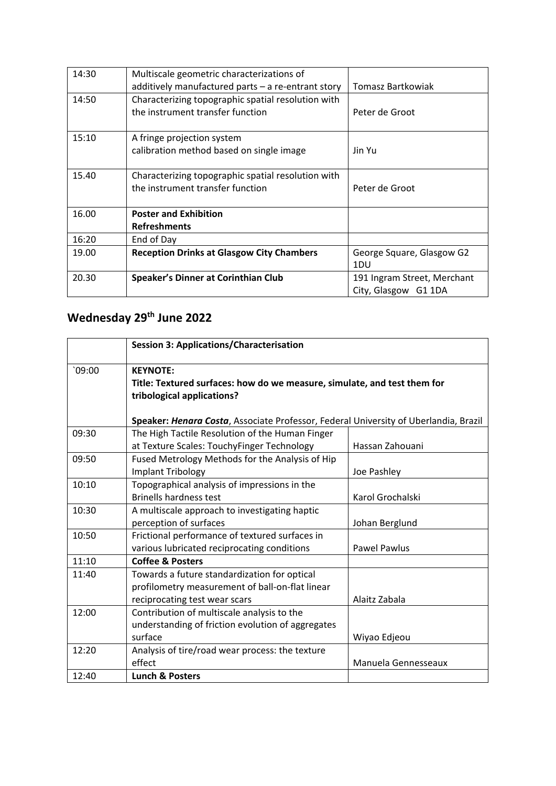| 14:30 | Multiscale geometric characterizations of          |                             |
|-------|----------------------------------------------------|-----------------------------|
|       | additively manufactured parts - a re-entrant story | Tomasz Bartkowiak           |
| 14:50 | Characterizing topographic spatial resolution with |                             |
|       | the instrument transfer function                   | Peter de Groot              |
|       |                                                    |                             |
| 15:10 | A fringe projection system                         |                             |
|       | calibration method based on single image           | Jin Yu                      |
|       |                                                    |                             |
| 15.40 | Characterizing topographic spatial resolution with |                             |
|       | the instrument transfer function                   | Peter de Groot              |
|       |                                                    |                             |
| 16.00 | <b>Poster and Exhibition</b>                       |                             |
|       | <b>Refreshments</b>                                |                             |
| 16:20 | End of Day                                         |                             |
| 19.00 | <b>Reception Drinks at Glasgow City Chambers</b>   | George Square, Glasgow G2   |
|       |                                                    | 1DU                         |
| 20.30 | Speaker's Dinner at Corinthian Club                | 191 Ingram Street, Merchant |
|       |                                                    | City, Glasgow G1 1DA        |

## **Wednesday 29th June 2022**

|        | <b>Session 3: Applications/Characterisation</b>                                                                           |                     |
|--------|---------------------------------------------------------------------------------------------------------------------------|---------------------|
| 09:00' | <b>KEYNOTE:</b><br>Title: Textured surfaces: how do we measure, simulate, and test them for<br>tribological applications? |                     |
|        | Speaker: Henara Costa, Associate Professor, Federal University of Uberlandia, Brazil                                      |                     |
| 09:30  | The High Tactile Resolution of the Human Finger                                                                           |                     |
|        | at Texture Scales: TouchyFinger Technology                                                                                | Hassan Zahouani     |
| 09:50  | Fused Metrology Methods for the Analysis of Hip                                                                           |                     |
|        | <b>Implant Tribology</b>                                                                                                  | Joe Pashley         |
| 10:10  | Topographical analysis of impressions in the                                                                              |                     |
|        | <b>Brinells hardness test</b>                                                                                             | Karol Grochalski    |
| 10:30  | A multiscale approach to investigating haptic                                                                             |                     |
|        | perception of surfaces                                                                                                    | Johan Berglund      |
| 10:50  | Frictional performance of textured surfaces in                                                                            |                     |
|        | various lubricated reciprocating conditions                                                                               | <b>Pawel Pawlus</b> |
| 11:10  | <b>Coffee &amp; Posters</b>                                                                                               |                     |
| 11:40  | Towards a future standardization for optical                                                                              |                     |
|        | profilometry measurement of ball-on-flat linear                                                                           |                     |
|        | reciprocating test wear scars                                                                                             | Alaitz Zabala       |
| 12:00  | Contribution of multiscale analysis to the                                                                                |                     |
|        | understanding of friction evolution of aggregates                                                                         |                     |
|        | surface                                                                                                                   | Wiyao Edjeou        |
| 12:20  | Analysis of tire/road wear process: the texture                                                                           |                     |
|        | effect                                                                                                                    | Manuela Gennesseaux |
| 12:40  | <b>Lunch &amp; Posters</b>                                                                                                |                     |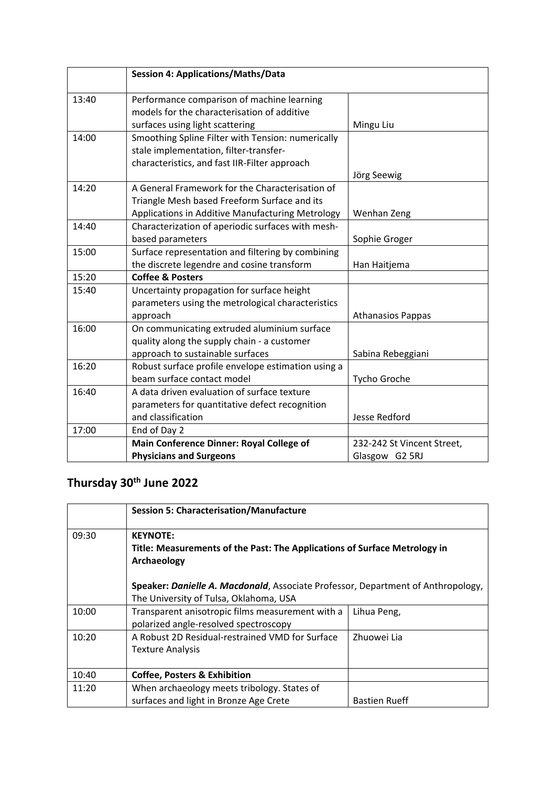|       | <b>Session 4: Applications/Maths/Data</b>          |                            |
|-------|----------------------------------------------------|----------------------------|
|       |                                                    |                            |
| 13:40 | Performance comparison of machine learning         |                            |
|       | models for the characterisation of additive        |                            |
|       | surfaces using light scattering                    | Mingu Liu                  |
| 14:00 | Smoothing Spline Filter with Tension: numerically  |                            |
|       | stale implementation, filter-transfer-             |                            |
|       | characteristics, and fast IIR-Filter approach      |                            |
|       |                                                    | Jörg Seewig                |
| 14:20 | A General Framework for the Characterisation of    |                            |
|       | Triangle Mesh based Freeform Surface and its       |                            |
|       | Applications in Additive Manufacturing Metrology   | Wenhan Zeng                |
| 14:40 | Characterization of aperiodic surfaces with mesh-  |                            |
|       | based parameters                                   | Sophie Groger              |
| 15:00 | Surface representation and filtering by combining  |                            |
|       | the discrete legendre and cosine transform         | Han Haitjema               |
| 15:20 | <b>Coffee &amp; Posters</b>                        |                            |
| 15:40 | Uncertainty propagation for surface height         |                            |
|       | parameters using the metrological characteristics  |                            |
|       | approach                                           | <b>Athanasios Pappas</b>   |
| 16:00 | On communicating extruded aluminium surface        |                            |
|       | quality along the supply chain - a customer        |                            |
|       | approach to sustainable surfaces                   | Sabina Rebeggiani          |
| 16:20 | Robust surface profile envelope estimation using a |                            |
|       | beam surface contact model                         | Tycho Groche               |
| 16:40 | A data driven evaluation of surface texture        |                            |
|       | parameters for quantitative defect recognition     |                            |
|       | and classification                                 | <b>Jesse Redford</b>       |
| 17:00 | End of Day 2                                       |                            |
|       | Main Conference Dinner: Royal College of           | 232-242 St Vincent Street, |
|       | <b>Physicians and Surgeons</b>                     | Glasgow G2 5RJ             |

## **Thursday 30th June 2022**

|       | <b>Session 5: Characterisation/Manufacture</b>                                                                                                                                                                                            |                      |
|-------|-------------------------------------------------------------------------------------------------------------------------------------------------------------------------------------------------------------------------------------------|----------------------|
| 09:30 | <b>KEYNOTE:</b><br>Title: Measurements of the Past: The Applications of Surface Metrology in<br>Archaeology<br>Speaker: Danielle A. Macdonald, Associate Professor, Department of Anthropology,<br>The University of Tulsa, Oklahoma, USA |                      |
|       |                                                                                                                                                                                                                                           |                      |
| 10:00 | Transparent anisotropic films measurement with a<br>polarized angle-resolved spectroscopy                                                                                                                                                 | Lihua Peng,          |
| 10:20 | A Robust 2D Residual-restrained VMD for Surface<br><b>Texture Analysis</b>                                                                                                                                                                | Zhuowei Lia          |
| 10:40 | <b>Coffee, Posters &amp; Exhibition</b>                                                                                                                                                                                                   |                      |
| 11:20 | When archaeology meets tribology. States of<br>surfaces and light in Bronze Age Crete                                                                                                                                                     | <b>Bastien Rueff</b> |